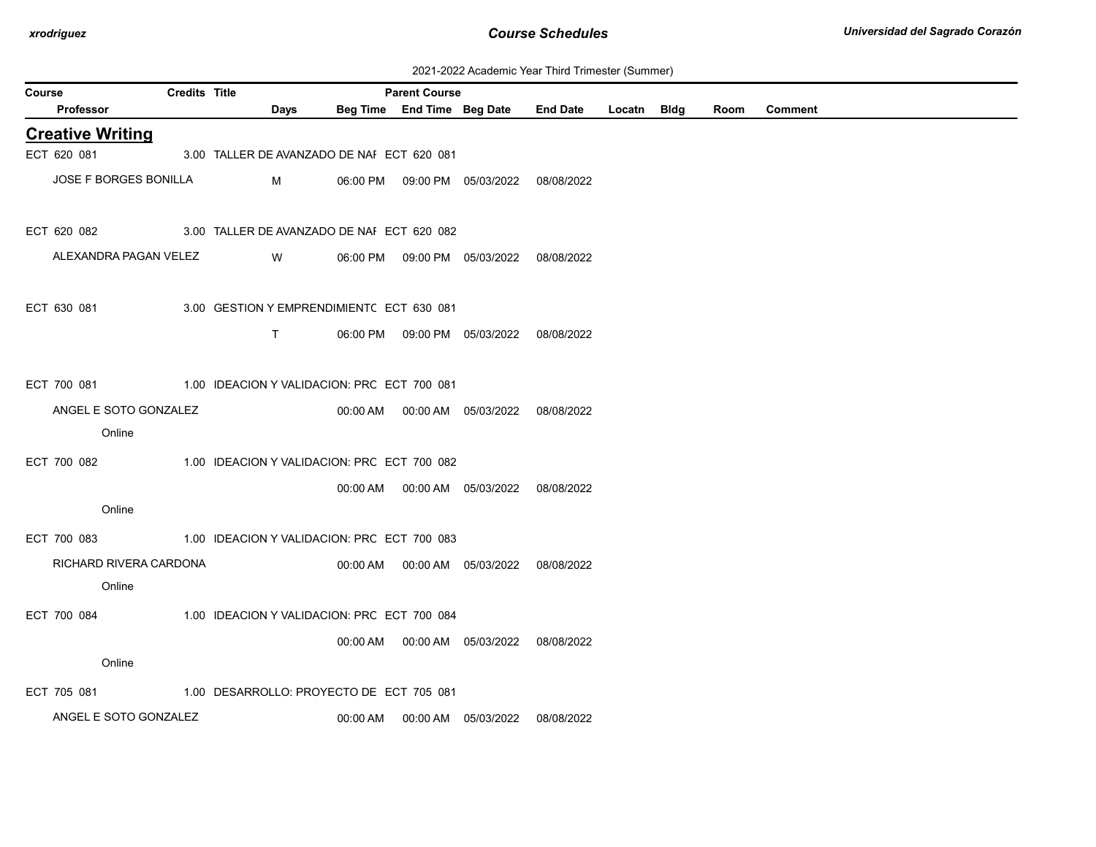| Course |                              | <b>Credits Title</b> |                                             |          | <b>Parent Course</b>       |                                            |                 |        |             |      |                |
|--------|------------------------------|----------------------|---------------------------------------------|----------|----------------------------|--------------------------------------------|-----------------|--------|-------------|------|----------------|
|        | Professor                    |                      | <b>Days</b>                                 |          | Beg Time End Time Beg Date |                                            | <b>End Date</b> | Locatn | <b>Bldg</b> | Room | <b>Comment</b> |
|        | <b>Creative Writing</b>      |                      |                                             |          |                            |                                            |                 |        |             |      |                |
|        | ECT 620 081                  |                      | 3.00 TALLER DE AVANZADO DE NAI ECT 620 081  |          |                            |                                            |                 |        |             |      |                |
|        | <b>JOSE F BORGES BONILLA</b> |                      | M                                           |          |                            | 06:00 PM  09:00 PM  05/03/2022  08/08/2022 |                 |        |             |      |                |
|        |                              |                      |                                             |          |                            |                                            |                 |        |             |      |                |
|        | ECT 620 082                  |                      | 3.00 TALLER DE AVANZADO DE NAI ECT 620 082  |          |                            |                                            |                 |        |             |      |                |
|        | ALEXANDRA PAGAN VELEZ        |                      | W                                           |          |                            | 06:00 PM  09:00 PM  05/03/2022             | 08/08/2022      |        |             |      |                |
|        |                              |                      |                                             |          |                            |                                            |                 |        |             |      |                |
|        | ECT 630 081                  |                      | 3.00 GESTION Y EMPRENDIMIENTC ECT 630 081   |          |                            |                                            |                 |        |             |      |                |
|        |                              |                      | T.                                          |          |                            | 06:00 PM  09:00 PM  05/03/2022  08/08/2022 |                 |        |             |      |                |
|        |                              |                      |                                             |          |                            |                                            |                 |        |             |      |                |
|        | ECT 700 081                  |                      | 1.00 IDEACION Y VALIDACION: PRC ECT 700 081 |          |                            |                                            |                 |        |             |      |                |
|        | ANGEL E SOTO GONZALEZ        |                      |                                             |          |                            | 00:00 AM  00:00 AM  05/03/2022  08/08/2022 |                 |        |             |      |                |
|        | Online                       |                      |                                             |          |                            |                                            |                 |        |             |      |                |
|        | ECT 700 082                  |                      | 1.00 IDEACION Y VALIDACION: PRC ECT 700 082 |          |                            |                                            |                 |        |             |      |                |
|        |                              |                      |                                             |          |                            | 00:00 AM   00:00 AM   05/03/2022           | 08/08/2022      |        |             |      |                |
|        | Online                       |                      |                                             |          |                            |                                            |                 |        |             |      |                |
|        | ECT 700 083                  |                      | 1.00 IDEACION Y VALIDACION: PRC ECT 700 083 |          |                            |                                            |                 |        |             |      |                |
|        | RICHARD RIVERA CARDONA       |                      |                                             |          |                            | 00:00 AM  00:00 AM  05/03/2022             | 08/08/2022      |        |             |      |                |
|        | Online                       |                      |                                             |          |                            |                                            |                 |        |             |      |                |
|        | ECT 700 084                  |                      | 1.00 IDEACION Y VALIDACION: PRC ECT 700 084 |          |                            |                                            |                 |        |             |      |                |
|        |                              |                      |                                             |          |                            | 00:00 AM  00:00 AM  05/03/2022  08/08/2022 |                 |        |             |      |                |
|        | Online                       |                      |                                             |          |                            |                                            |                 |        |             |      |                |
|        | ECT 705 081                  |                      | 1.00 DESARROLLO: PROYECTO DE ECT 705 081    |          |                            |                                            |                 |        |             |      |                |
|        | ANGEL E SOTO GONZALEZ        |                      |                                             | 00:00 AM |                            | 00:00 AM 05/03/2022                        | 08/08/2022      |        |             |      |                |
|        |                              |                      |                                             |          |                            |                                            |                 |        |             |      |                |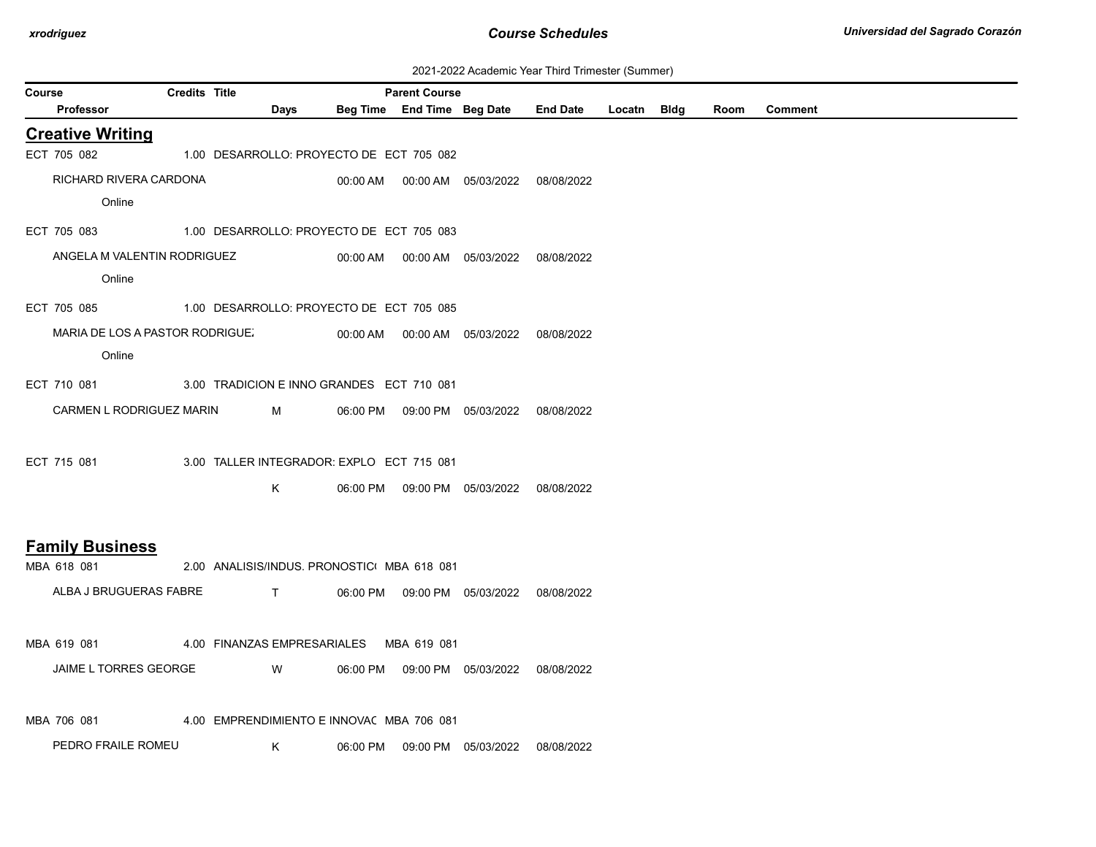| 2021-2022 Academic Year Third Trimester (Summer) |  |  |  |  |  |
|--------------------------------------------------|--|--|--|--|--|
|--------------------------------------------------|--|--|--|--|--|

|               |                                 |               |      |                                             |                            |                                            | 2021-2022 Academic Year Third Trimester (Summer) |             |      |                |  |
|---------------|---------------------------------|---------------|------|---------------------------------------------|----------------------------|--------------------------------------------|--------------------------------------------------|-------------|------|----------------|--|
| <b>Course</b> |                                 | Credits Title |      |                                             | <b>Parent Course</b>       |                                            |                                                  |             |      |                |  |
|               | <b>Professor</b>                |               | Days |                                             | Beg Time End Time Beg Date |                                            | <b>End Date</b>                                  | Locatn Bldg | Room | <b>Comment</b> |  |
|               | <b>Creative Writing</b>         |               |      |                                             |                            |                                            |                                                  |             |      |                |  |
|               | ECT 705 082                     |               |      | 1.00 DESARROLLO: PROYECTO DE ECT 705 082    |                            |                                            |                                                  |             |      |                |  |
|               | RICHARD RIVERA CARDONA          |               |      |                                             |                            | 00:00 AM  00:00 AM  05/03/2022  08/08/2022 |                                                  |             |      |                |  |
|               | Online                          |               |      |                                             |                            |                                            |                                                  |             |      |                |  |
|               | ECT 705 083                     |               |      | 1.00 DESARROLLO: PROYECTO DE ECT 705 083    |                            |                                            |                                                  |             |      |                |  |
|               | ANGELA M VALENTIN RODRIGUEZ     |               |      |                                             |                            | 00:00 AM  00:00 AM  05/03/2022  08/08/2022 |                                                  |             |      |                |  |
|               | Online                          |               |      |                                             |                            |                                            |                                                  |             |      |                |  |
|               | ECT 705 085                     |               |      | 1.00 DESARROLLO: PROYECTO DE ECT 705 085    |                            |                                            |                                                  |             |      |                |  |
|               | MARIA DE LOS A PASTOR RODRIGUE. |               |      |                                             |                            | 00:00 AM  00:00 AM  05/03/2022  08/08/2022 |                                                  |             |      |                |  |
|               | Online                          |               |      |                                             |                            |                                            |                                                  |             |      |                |  |
|               | ECT 710 081                     |               |      | 3.00 TRADICION E INNO GRANDES ECT 710 081   |                            |                                            |                                                  |             |      |                |  |
|               | CARMEN L RODRIGUEZ MARIN        |               | M    | 06:00 PM                                    |                            | 09:00 PM 05/03/2022                        | 08/08/2022                                       |             |      |                |  |
|               |                                 |               |      |                                             |                            |                                            |                                                  |             |      |                |  |
|               | ECT 715 081                     |               |      | 3.00 TALLER INTEGRADOR: EXPLO ECT 715 081   |                            |                                            |                                                  |             |      |                |  |
|               |                                 |               | K    |                                             |                            | 06:00 PM  09:00 PM  05/03/2022  08/08/2022 |                                                  |             |      |                |  |
|               |                                 |               |      |                                             |                            |                                            |                                                  |             |      |                |  |
|               | <b>Family Business</b>          |               |      |                                             |                            |                                            |                                                  |             |      |                |  |
|               | MBA 618 081                     |               |      | 2.00 ANALISIS/INDUS. PRONOSTIC: MBA 618 081 |                            |                                            |                                                  |             |      |                |  |
|               | ALBA J BRUGUERAS FABRE T        |               |      |                                             |                            | 06:00 PM  09:00 PM  05/03/2022  08/08/2022 |                                                  |             |      |                |  |
|               |                                 |               |      |                                             |                            |                                            |                                                  |             |      |                |  |
|               | MBA 619 081                     |               |      | 4.00 FINANZAS EMPRESARIALES MBA 619 081     |                            |                                            |                                                  |             |      |                |  |
|               | JAIME L TORRES GEORGE           |               | W    |                                             |                            | 06:00 PM  09:00 PM  05/03/2022  08/08/2022 |                                                  |             |      |                |  |
|               |                                 |               |      |                                             |                            |                                            |                                                  |             |      |                |  |
|               | MBA 706 081                     |               |      | 4.00 EMPRENDIMIENTO E INNOVAC MBA 706 081   |                            |                                            |                                                  |             |      |                |  |
|               | PEDRO FRAILE ROMEU              |               | K    |                                             |                            | 06:00 PM  09:00 PM  05/03/2022             | 08/08/2022                                       |             |      |                |  |
|               |                                 |               |      |                                             |                            |                                            |                                                  |             |      |                |  |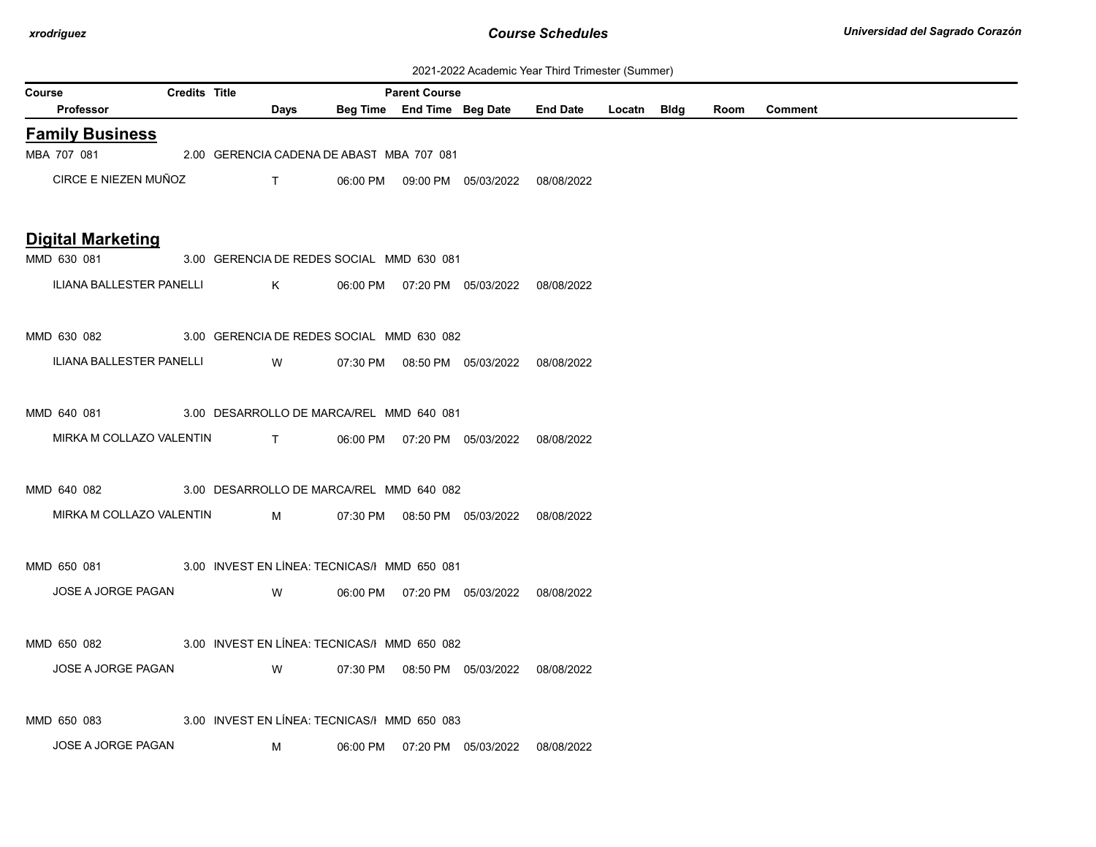| 2021-2022 Academic Year Third Trimester (Summer) |  |  |  |  |  |
|--------------------------------------------------|--|--|--|--|--|
|--------------------------------------------------|--|--|--|--|--|

|               | ZUZ I-ZUZZ ACQUEINIC TEGI THIIU THINESLEI (SUNNIEI)      |                      |          |                                                                                                                                                                                                                                                                                                  |                                              |                            |                                            |                 |             |  |      |                |  |
|---------------|----------------------------------------------------------|----------------------|----------|--------------------------------------------------------------------------------------------------------------------------------------------------------------------------------------------------------------------------------------------------------------------------------------------------|----------------------------------------------|----------------------------|--------------------------------------------|-----------------|-------------|--|------|----------------|--|
| <b>Course</b> |                                                          | <b>Credits Title</b> |          |                                                                                                                                                                                                                                                                                                  |                                              | <b>Parent Course</b>       |                                            |                 |             |  |      |                |  |
|               | <b>Professor</b>                                         |                      |          | Days                                                                                                                                                                                                                                                                                             |                                              | Beg Time End Time Beg Date |                                            | <b>End Date</b> | Locatn Bldg |  | Room | <b>Comment</b> |  |
|               | <b>Family Business</b>                                   |                      |          |                                                                                                                                                                                                                                                                                                  |                                              |                            |                                            |                 |             |  |      |                |  |
|               | MBA 707 081                                              |                      |          |                                                                                                                                                                                                                                                                                                  | 2.00 GERENCIA CADENA DE ABAST MBA 707 081    |                            |                                            |                 |             |  |      |                |  |
|               | CIRCE E NIEZEN MUÑOZ                                     |                      |          | $\mathsf{T}$                                                                                                                                                                                                                                                                                     |                                              |                            | 06:00 PM  09:00 PM  05/03/2022  08/08/2022 |                 |             |  |      |                |  |
|               | <b>Digital Marketing</b>                                 |                      |          |                                                                                                                                                                                                                                                                                                  |                                              |                            |                                            |                 |             |  |      |                |  |
|               | MMD 630 081                                              |                      |          |                                                                                                                                                                                                                                                                                                  | 3.00 GERENCIA DE REDES SOCIAL MMD 630 081    |                            |                                            |                 |             |  |      |                |  |
|               | ILIANA BALLESTER PANELLI                                 |                      |          | $\mathsf{K}$ and $\mathsf{K}$ and $\mathsf{K}$ and $\mathsf{K}$ and $\mathsf{K}$ and $\mathsf{K}$ and $\mathsf{K}$ and $\mathsf{K}$ and $\mathsf{K}$ and $\mathsf{K}$ and $\mathsf{K}$ and $\mathsf{K}$ and $\mathsf{K}$ and $\mathsf{K}$ and $\mathsf{K}$ and $\mathsf{K}$ and $\mathsf{K}$ and |                                              |                            | 06:00 PM  07:20 PM  05/03/2022  08/08/2022 |                 |             |  |      |                |  |
|               | MMD 630 082 3.00 GERENCIA DE REDES SOCIAL MMD 630 082    |                      |          |                                                                                                                                                                                                                                                                                                  |                                              |                            |                                            |                 |             |  |      |                |  |
|               | ILIANA BALLESTER PANELLI                                 |                      | <b>W</b> |                                                                                                                                                                                                                                                                                                  |                                              |                            | 07:30 PM  08:50 PM  05/03/2022  08/08/2022 |                 |             |  |      |                |  |
|               | MMD 640 081 3.00 DESARROLLO DE MARCA/REL MMD 640 081     |                      |          |                                                                                                                                                                                                                                                                                                  |                                              |                            |                                            |                 |             |  |      |                |  |
|               | MIRKA M COLLAZO VALENTIN T                               |                      |          |                                                                                                                                                                                                                                                                                                  |                                              |                            | 06:00 PM  07:20 PM  05/03/2022  08/08/2022 |                 |             |  |      |                |  |
|               | MMD 640 082                                              |                      |          |                                                                                                                                                                                                                                                                                                  | 3.00 DESARROLLO DE MARCA/REL MMD 640 082     |                            |                                            |                 |             |  |      |                |  |
|               | MIRKA M COLLAZO VALENTIN                                 |                      |          | M                                                                                                                                                                                                                                                                                                |                                              |                            | 07:30 PM  08:50 PM  05/03/2022  08/08/2022 |                 |             |  |      |                |  |
|               | MMD 650 081 3.00 INVEST EN LÍNEA: TECNICAS/I MMD 650 081 |                      |          |                                                                                                                                                                                                                                                                                                  |                                              |                            |                                            |                 |             |  |      |                |  |
|               | JOSE A JORGE PAGAN                                       |                      |          | W                                                                                                                                                                                                                                                                                                |                                              |                            | 06:00 PM  07:20 PM  05/03/2022  08/08/2022 |                 |             |  |      |                |  |
|               | MMD 650 082 3.00 INVEST EN LÍNEA: TECNICAS/I MMD 650 082 |                      |          |                                                                                                                                                                                                                                                                                                  |                                              |                            |                                            |                 |             |  |      |                |  |
|               | JOSE A JORGE PAGAN                                       |                      |          | W                                                                                                                                                                                                                                                                                                |                                              |                            | 07:30 PM  08:50 PM  05/03/2022  08/08/2022 |                 |             |  |      |                |  |
|               | MMD 650 083                                              |                      |          |                                                                                                                                                                                                                                                                                                  | 3.00 INVEST EN LÍNEA: TECNICAS/I MMD 650 083 |                            |                                            |                 |             |  |      |                |  |
|               | JOSE A JORGE PAGAN                                       |                      |          | M                                                                                                                                                                                                                                                                                                |                                              |                            | 06:00 PM  07:20 PM  05/03/2022  08/08/2022 |                 |             |  |      |                |  |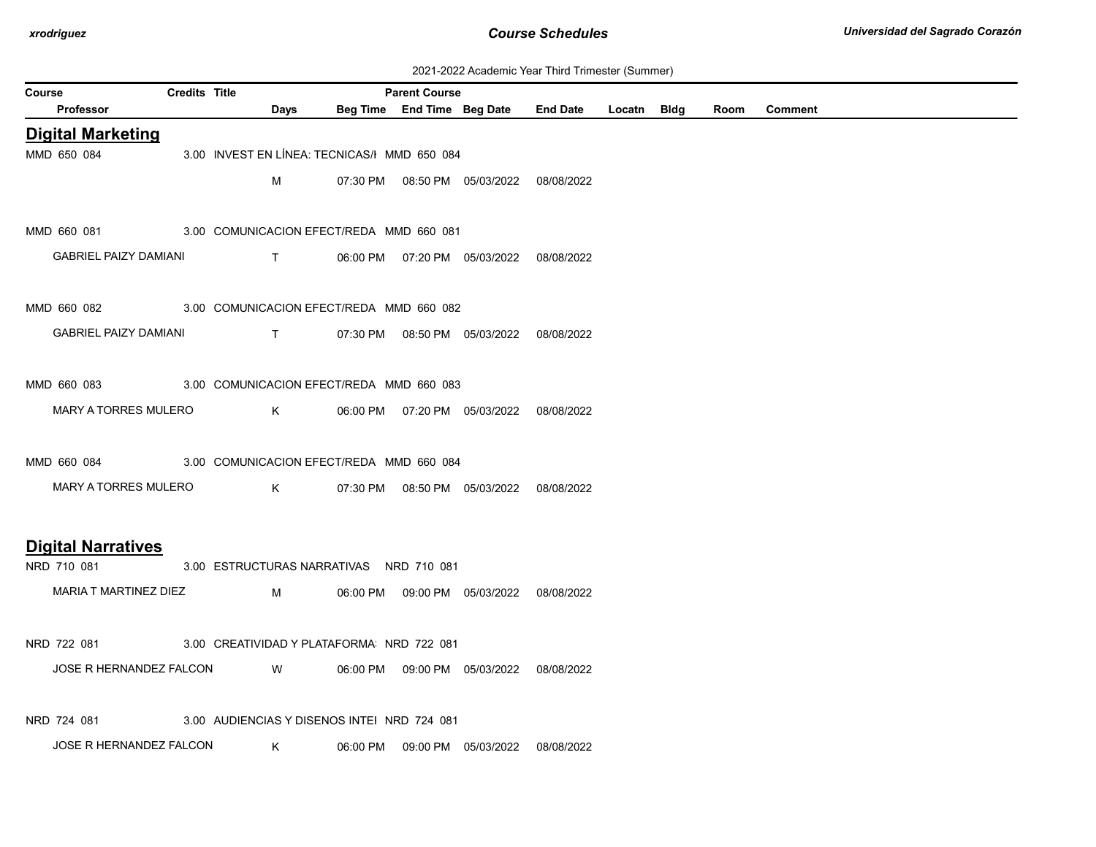| 2021-2022 Academic Year Third Trimester (Summer) |  |  |  |  |  |
|--------------------------------------------------|--|--|--|--|--|
|--------------------------------------------------|--|--|--|--|--|

|               | 2021-2022 Academic Tear Trillu Trilliester (Summer)  |                      |              |              |                                              |                            |                                            |                 |             |  |      |                |
|---------------|------------------------------------------------------|----------------------|--------------|--------------|----------------------------------------------|----------------------------|--------------------------------------------|-----------------|-------------|--|------|----------------|
| <b>Course</b> |                                                      | <b>Credits Title</b> |              |              |                                              | <b>Parent Course</b>       |                                            | <b>End Date</b> |             |  |      |                |
|               | <b>Professor</b>                                     |                      |              | Days         |                                              | Beg Time End Time Beg Date |                                            |                 | Locatn Bldg |  | Room | <b>Comment</b> |
|               | <b>Digital Marketing</b>                             |                      |              |              |                                              |                            |                                            |                 |             |  |      |                |
|               | MMD 650 084                                          |                      |              |              | 3.00 INVEST EN LÍNEA: TECNICAS/I MMD 650 084 |                            |                                            |                 |             |  |      |                |
|               |                                                      |                      |              | м            |                                              |                            | 07:30 PM  08:50 PM  05/03/2022  08/08/2022 |                 |             |  |      |                |
|               |                                                      |                      |              |              |                                              |                            |                                            |                 |             |  |      |                |
|               | MMD 660 081                                          |                      |              |              | 3.00 COMUNICACION EFECT/REDA MMD 660 081     |                            |                                            |                 |             |  |      |                |
|               | <b>GABRIEL PAIZY DAMIANI</b>                         |                      |              | $\mathsf{T}$ |                                              |                            | 06:00 PM  07:20 PM  05/03/2022  08/08/2022 |                 |             |  |      |                |
|               |                                                      |                      |              |              |                                              |                            |                                            |                 |             |  |      |                |
|               | MMD 660 082                                          |                      |              |              | 3.00 COMUNICACION EFECT/REDA MMD 660 082     |                            |                                            |                 |             |  |      |                |
|               |                                                      |                      |              |              |                                              |                            |                                            |                 |             |  |      |                |
|               | <b>GABRIEL PAIZY DAMIANI</b>                         |                      | $\mathbf{T}$ |              |                                              |                            | 07:30 PM  08:50 PM  05/03/2022  08/08/2022 |                 |             |  |      |                |
|               |                                                      |                      |              |              |                                              |                            |                                            |                 |             |  |      |                |
|               | MMD 660 083 3.00 COMUNICACION EFECT/REDA MMD 660 083 |                      |              |              |                                              |                            |                                            |                 |             |  |      |                |
|               | MARY A TORRES MULERO                                 |                      |              | $K$ and $K$  |                                              |                            | 06:00 PM  07:20 PM  05/03/2022  08/08/2022 |                 |             |  |      |                |
|               |                                                      |                      |              |              |                                              |                            |                                            |                 |             |  |      |                |
|               | MMD 660 084                                          |                      |              |              | 3.00 COMUNICACION EFECT/REDA MMD 660 084     |                            |                                            |                 |             |  |      |                |
|               | MARY A TORRES MULERO                                 |                      |              | K            |                                              |                            | 07:30 PM  08:50 PM  05/03/2022  08/08/2022 |                 |             |  |      |                |
|               |                                                      |                      |              |              |                                              |                            |                                            |                 |             |  |      |                |
|               |                                                      |                      |              |              |                                              |                            |                                            |                 |             |  |      |                |
|               | <b>Digital Narratives</b>                            |                      |              |              |                                              |                            |                                            |                 |             |  |      |                |
|               | NRD 710 081                                          |                      |              |              | 3.00 ESTRUCTURAS NARRATIVAS NRD 710 081      |                            |                                            |                 |             |  |      |                |
|               | MARIA T MARTINEZ DIEZ                                |                      |              | M            |                                              |                            | 06:00 PM  09:00 PM  05/03/2022  08/08/2022 |                 |             |  |      |                |
|               |                                                      |                      |              |              |                                              |                            |                                            |                 |             |  |      |                |
|               | NRD 722 081                                          |                      |              |              | 3.00 CREATIVIDAD Y PLATAFORMA NRD 722 081    |                            |                                            |                 |             |  |      |                |
|               | JOSE R HERNANDEZ FALCON                              |                      |              | W            |                                              |                            | 06:00 PM  09:00 PM  05/03/2022  08/08/2022 |                 |             |  |      |                |
|               |                                                      |                      |              |              |                                              |                            |                                            |                 |             |  |      |                |
|               |                                                      |                      |              |              |                                              |                            |                                            |                 |             |  |      |                |
|               | NRD 724 081                                          |                      |              |              | 3.00 AUDIENCIAS Y DISENOS INTEI NRD 724 081  |                            |                                            |                 |             |  |      |                |
|               | JOSE R HERNANDEZ FALCON                              |                      |              | K            |                                              |                            | 06:00 PM  09:00 PM  05/03/2022  08/08/2022 |                 |             |  |      |                |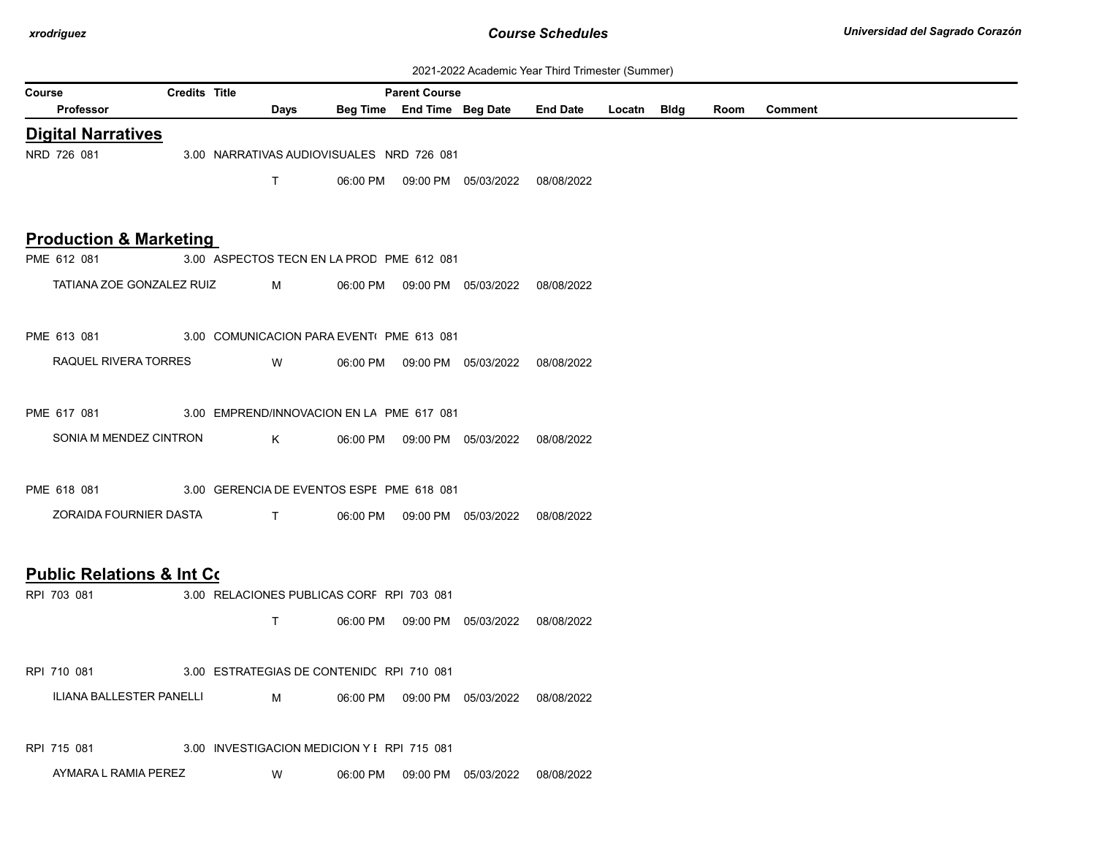| 2021-2022 Academic Year Third Trimester (Summer) |  |  |  |  |  |
|--------------------------------------------------|--|--|--|--|--|
|--------------------------------------------------|--|--|--|--|--|

| Course                                               | <b>Credits Title</b> |                                             | <b>Parent Course</b> |                                            | 2021-2022 Academic Tear Third Thinester (Summer) |             |      |         |
|------------------------------------------------------|----------------------|---------------------------------------------|----------------------|--------------------------------------------|--------------------------------------------------|-------------|------|---------|
| Professor                                            |                      | Days                                        |                      | Beg Time End Time Beg Date                 | <b>End Date</b>                                  | Locatn Bldg | Room | Comment |
| <b>Digital Narratives</b>                            |                      |                                             |                      |                                            |                                                  |             |      |         |
| NRD 726 081                                          |                      | 3.00 NARRATIVAS AUDIOVISUALES NRD 726 081   |                      |                                            |                                                  |             |      |         |
|                                                      |                      | T                                           |                      | 06:00 PM  09:00 PM  05/03/2022  08/08/2022 |                                                  |             |      |         |
|                                                      |                      |                                             |                      |                                            |                                                  |             |      |         |
| <b>Production &amp; Marketing</b>                    |                      |                                             |                      |                                            |                                                  |             |      |         |
| PME 612 081                                          |                      | 3.00 ASPECTOS TECN EN LA PROD PME 612 081   |                      |                                            |                                                  |             |      |         |
| TATIANA ZOE GONZALEZ RUIZ                            |                      | M                                           |                      | 06:00 PM  09:00 PM  05/03/2022  08/08/2022 |                                                  |             |      |         |
|                                                      |                      |                                             |                      |                                            |                                                  |             |      |         |
| PME 613 081                                          |                      | 3.00 COMUNICACION PARA EVENTI PME 613 081   |                      |                                            |                                                  |             |      |         |
| RAQUEL RIVERA TORRES                                 |                      | W                                           |                      | 06:00 PM  09:00 PM  05/03/2022  08/08/2022 |                                                  |             |      |         |
|                                                      |                      |                                             |                      |                                            |                                                  |             |      |         |
| PME 617 081                                          |                      | 3.00 EMPREND/INNOVACION EN LA PME 617 081   |                      |                                            |                                                  |             |      |         |
| SONIA M MENDEZ CINTRON                               |                      | $K$ and $K$                                 |                      | 06:00 PM  09:00 PM  05/03/2022  08/08/2022 |                                                  |             |      |         |
|                                                      |                      |                                             |                      |                                            |                                                  |             |      |         |
| PME 618 081                                          |                      | 3.00 GERENCIA DE EVENTOS ESPE PME 618 081   |                      |                                            |                                                  |             |      |         |
| ZORAIDA FOURNIER DASTA                               |                      | $\mathbf{T}$ and $\mathbf{T}$               |                      | 06:00 PM  09:00 PM  05/03/2022  08/08/2022 |                                                  |             |      |         |
|                                                      |                      |                                             |                      |                                            |                                                  |             |      |         |
|                                                      |                      |                                             |                      |                                            |                                                  |             |      |         |
| <b>Public Relations &amp; Int Co.</b><br>RPI 703 081 |                      | 3.00 RELACIONES PUBLICAS CORF RPI 703 081   |                      |                                            |                                                  |             |      |         |
|                                                      |                      |                                             |                      |                                            |                                                  |             |      |         |
|                                                      |                      | $\mathsf{T}$                                |                      | 06:00 PM  09:00 PM  05/03/2022  08/08/2022 |                                                  |             |      |         |
|                                                      |                      |                                             |                      |                                            |                                                  |             |      |         |
| RPI 710 081                                          |                      | 3.00 ESTRATEGIAS DE CONTENIDO RPI 710 081   |                      |                                            |                                                  |             |      |         |
| ILIANA BALLESTER PANELLI                             |                      | M                                           |                      | 06:00 PM  09:00 PM  05/03/2022  08/08/2022 |                                                  |             |      |         |
|                                                      |                      |                                             |                      |                                            |                                                  |             |      |         |
| RPI 715 081                                          |                      | 3.00 INVESTIGACION MEDICION Y I RPI 715 081 |                      |                                            |                                                  |             |      |         |
| AYMARA L RAMIA PEREZ                                 |                      | W                                           |                      | 06:00 PM  09:00 PM  05/03/2022             | 08/08/2022                                       |             |      |         |